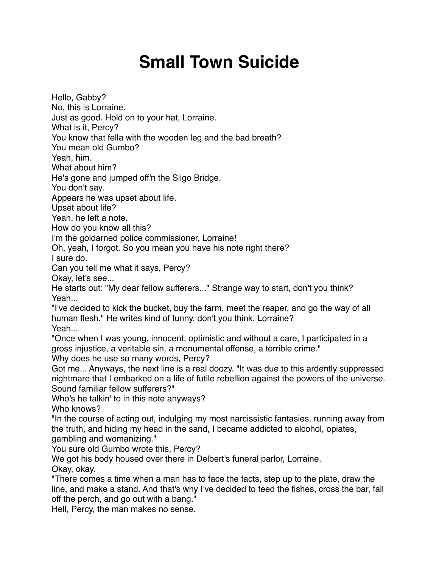## **Small Town Suicide**

Hello, Gabby? No, this is Lorraine. Just as good. Hold on to your hat, Lorraine. What is it, Percy? You know that fella with the wooden leg and the bad breath? You mean old Gumbo? Yeah, him. What about him? He's gone and jumped off'n the Sligo Bridge. You don't say. Appears he was upset about life. Upset about life? Yeah, he left a note. How do you know all this? I'm the goldarned police commissioner, Lorraine! Oh, yeah, I forgot. So you mean you have his note right there? I sure do. Can you tell me what it says, Percy? Okay, let's see... He starts out: "My dear fellow sufferers..." Strange way to start, don't you think? Yeah... "I've decided to kick the bucket, buy the farm, meet the reaper, and go the way of all human flesh." He writes kind of funny, don't you think, Lorraine? Yeah... "Once when I was young, innocent, optimistic and without a care, I participated in a gross injustice, a veritable sin, a monumental offense, a terrible crime." Why does he use so many words, Percy? Got me... Anyways, the next line is a real doozy. "It was due to this ardently suppressed

nightmare that I embarked on a life of futile rebellion against the powers of the universe. Sound familiar fellow sufferers?"

Who's he talkin' to in this note anyways?

Who knows?

"In the course of acting out, indulging my most narcissistic fantasies, running away from the truth, and hiding my head in the sand, I became addicted to alcohol, opiates, gambling and womanizing."

You sure old Gumbo wrote this, Percy?

We got his body housed over there in Delbert's funeral parlor, Lorraine. Okay, okay.

"There comes a time when a man has to face the facts, step up to the plate, draw the line, and make a stand. And that's why I've decided to feed the fishes, cross the bar, fall off the perch, and go out with a bang."

Hell, Percy, the man makes no sense.